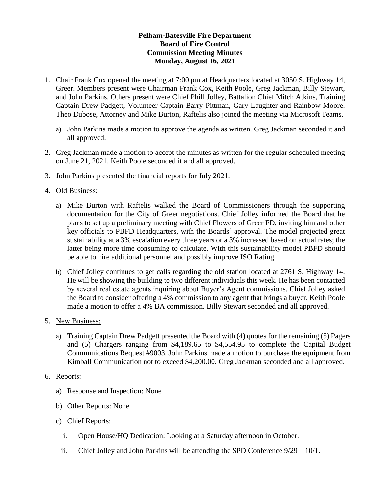## **Pelham-Batesville Fire Department Board of Fire Control Commission Meeting Minutes Monday, August 16, 2021**

- 1. Chair Frank Cox opened the meeting at 7:00 pm at Headquarters located at 3050 S. Highway 14, Greer. Members present were Chairman Frank Cox, Keith Poole, Greg Jackman, Billy Stewart, and John Parkins. Others present were Chief Phill Jolley, Battalion Chief Mitch Atkins, Training Captain Drew Padgett, Volunteer Captain Barry Pittman, Gary Laughter and Rainbow Moore. Theo Dubose, Attorney and Mike Burton, Raftelis also joined the meeting via Microsoft Teams.
	- a) John Parkins made a motion to approve the agenda as written. Greg Jackman seconded it and all approved.
- 2. Greg Jackman made a motion to accept the minutes as written for the regular scheduled meeting on June 21, 2021. Keith Poole seconded it and all approved.
- 3. John Parkins presented the financial reports for July 2021.

## 4. Old Business:

- a) Mike Burton with Raftelis walked the Board of Commissioners through the supporting documentation for the City of Greer negotiations. Chief Jolley informed the Board that he plans to set up a preliminary meeting with Chief Flowers of Greer FD, inviting him and other key officials to PBFD Headquarters, with the Boards' approval. The model projected great sustainability at a 3% escalation every three years or a 3% increased based on actual rates; the latter being more time consuming to calculate. With this sustainability model PBFD should be able to hire additional personnel and possibly improve ISO Rating.
- b) Chief Jolley continues to get calls regarding the old station located at 2761 S. Highway 14. He will be showing the building to two different individuals this week. He has been contacted by several real estate agents inquiring about Buyer's Agent commissions. Chief Jolley asked the Board to consider offering a 4% commission to any agent that brings a buyer. Keith Poole made a motion to offer a 4% BA commission. Billy Stewart seconded and all approved.
- 5. New Business:
	- a) Training Captain Drew Padgett presented the Board with (4) quotes for the remaining (5) Pagers and (5) Chargers ranging from \$4,189.65 to \$4,554.95 to complete the Capital Budget Communications Request #9003. John Parkins made a motion to purchase the equipment from Kimball Communication not to exceed \$4,200.00. Greg Jackman seconded and all approved.
- 6. Reports:
	- a) Response and Inspection: None
	- b) Other Reports: None
	- c) Chief Reports:
		- i. Open House/HQ Dedication: Looking at a Saturday afternoon in October.
		- ii. Chief Jolley and John Parkins will be attending the SPD Conference  $9/29 10/1$ .